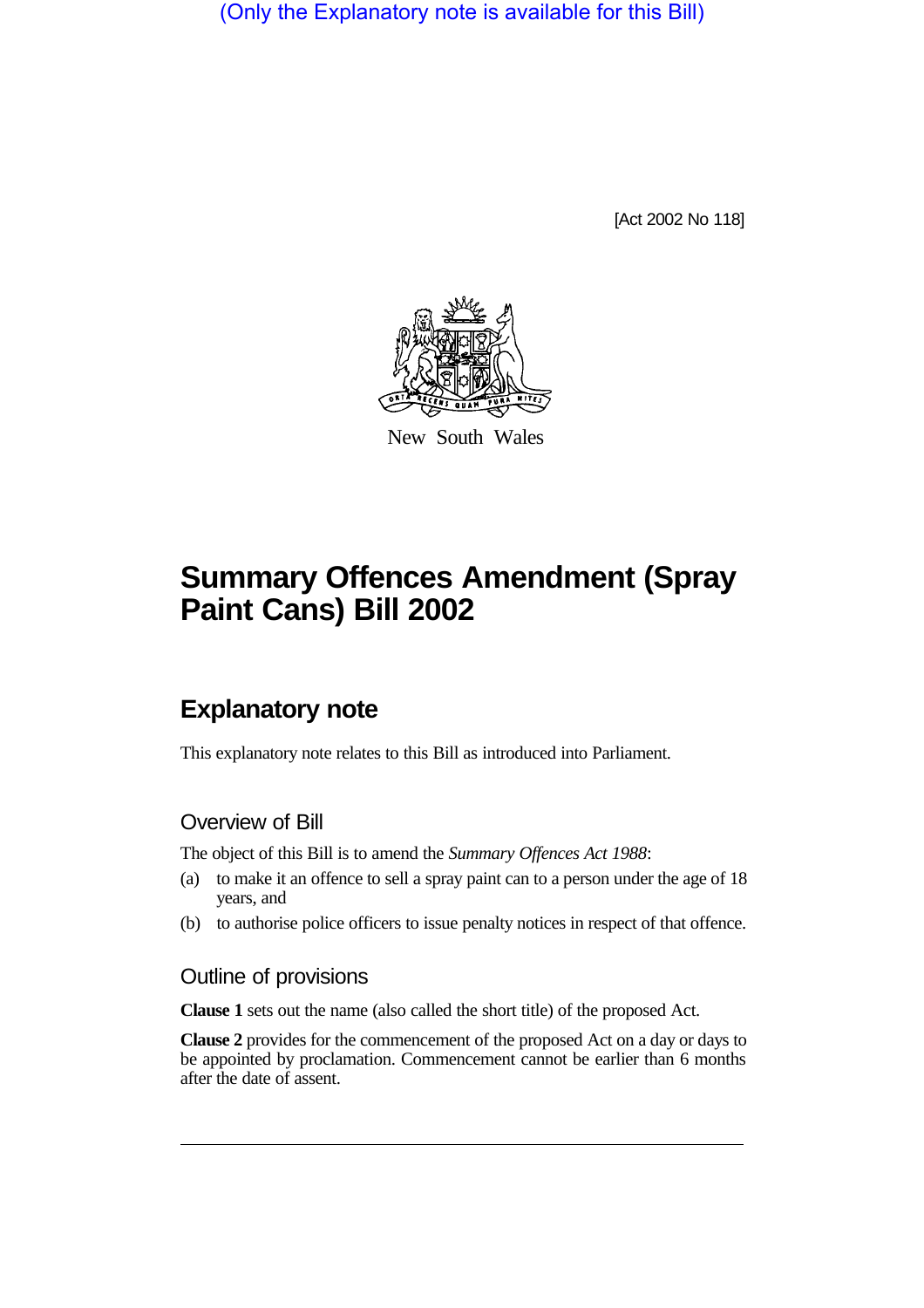(Only the Explanatory note is available for this Bill)

[Act 2002 No 118]



New South Wales

# **Summary Offences Amendment (Spray Paint Cans) Bill 2002**

## **Explanatory note**

This explanatory note relates to this Bill as introduced into Parliament.

#### Overview of Bill

The object of this Bill is to amend the *Summary Offences Act 1988*:

- (a) to make it an offence to sell a spray paint can to a person under the age of 18 years, and
- (b) to authorise police officers to issue penalty notices in respect of that offence.

#### Outline of provisions

**Clause 1** sets out the name (also called the short title) of the proposed Act.

**Clause 2** provides for the commencement of the proposed Act on a day or days to be appointed by proclamation. Commencement cannot be earlier than 6 months after the date of assent.